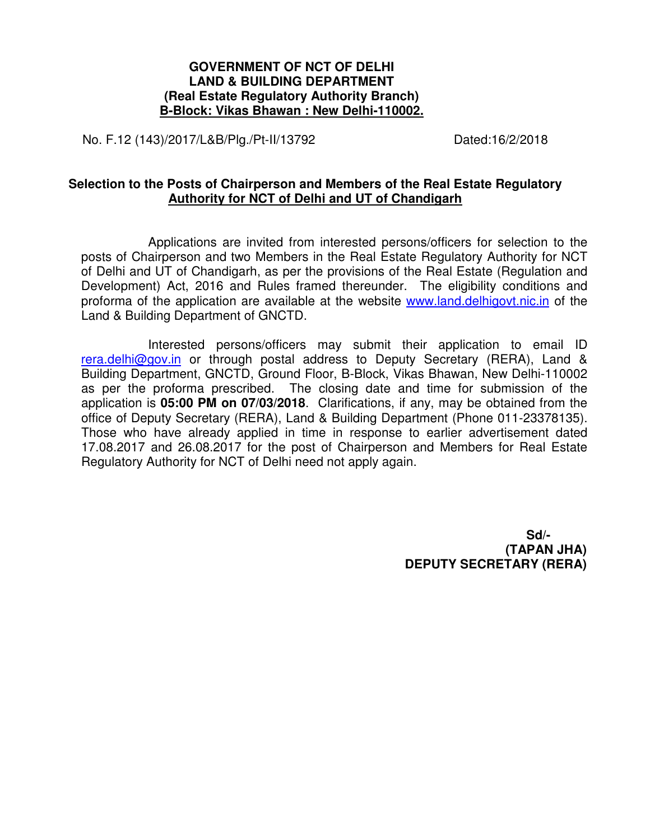## **GOVERNMENT OF NCT OF DELHI LAND & BUILDING DEPARTMENT (Real Estate Regulatory Authority Branch) B-Block: Vikas Bhawan : New Delhi-110002.**

No. F.12 (143)/2017/L&B/Plg./Pt-II/13792 Dated:16/2/2018

## **Selection to the Posts of Chairperson and Members of the Real Estate Regulatory Authority for NCT of Delhi and UT of Chandigarh**

Applications are invited from interested persons/officers for selection to the posts of Chairperson and two Members in the Real Estate Regulatory Authority for NCT of Delhi and UT of Chandigarh, as per the provisions of the Real Estate (Regulation and Development) Act, 2016 and Rules framed thereunder. The eligibility conditions and proforma of the application are available at the website www.land.delhigovt.nic.in of the Land & Building Department of GNCTD.

 Interested persons/officers may submit their application to email ID rera.delhi@gov.in or through postal address to Deputy Secretary (RERA), Land & Building Department, GNCTD, Ground Floor, B-Block, Vikas Bhawan, New Delhi-110002 as per the proforma prescribed. The closing date and time for submission of the application is **05:00 PM on 07/03/2018**. Clarifications, if any, may be obtained from the office of Deputy Secretary (RERA), Land & Building Department (Phone 011-23378135). Those who have already applied in time in response to earlier advertisement dated 17.08.2017 and 26.08.2017 for the post of Chairperson and Members for Real Estate Regulatory Authority for NCT of Delhi need not apply again.

> **Sd/- (TAPAN JHA) DEPUTY SECRETARY (RERA)**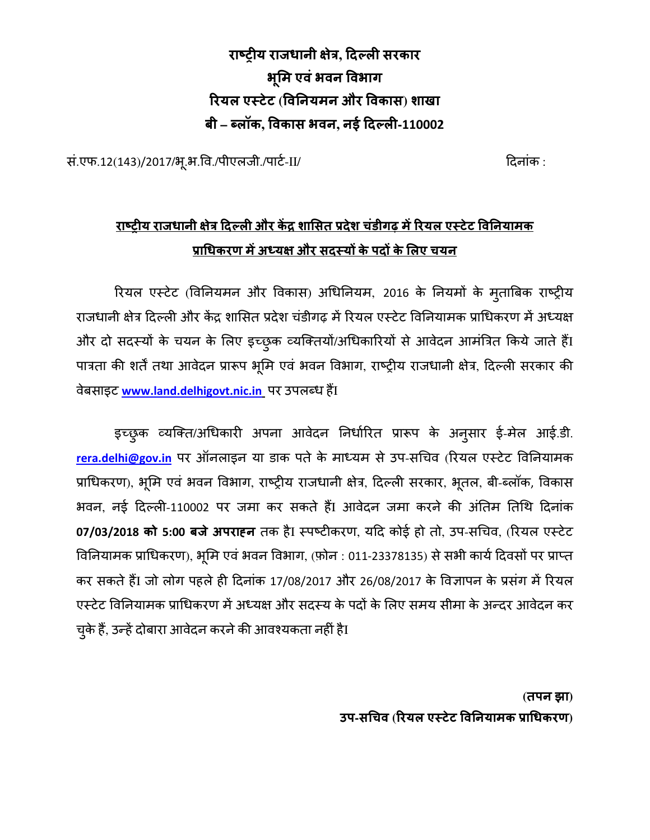**राय राजधानी े , दल सरकार भूम एवंभवन वभाग रयल एटेट (व नयमन और वकास) शाखा बी – %लॉक, वकास भवन, नई दल-110002** 

सं.एफ.12(143)/2017/भू.भ.वि./पीएलजी./पार्ट-II/ बाल का संस्था का स्थान कर दिनांक :

# **राय राजधानी े दल और क( ) शासत +देश चंडीगढ़ म(रयल एटेट व नयामक +ा/धकरण म(अ2य और सदय3 केपद3 केलए चयन**

रियल एस्टेट (विनियमन और विकास) अधिनियम, 2016 के नियमों के मुताबिक राष्ट्रीय राजधानी क्षेत्र दिल्ली और केंद्र शासित प्रदेश चंडीगढ़ में रियल एस्टेट विनियामक प्राधिकरण में अध्यक्ष और दो सदस्यों के चयन के लिए इच्छुक व्यक्तियों/अधिकारियों से आवेदन आमंत्रित किये जाते हैंI पात्रता की शर्तें तथा आवेदन प्रारूप भूमि एवं भवन विभाग, राष्ट्रीय राजधानी क्षेत्र, दिल्ली सरकार की dबसाइट <u>www.land.delhigovt.nic.in</u> पर उपलब्ध हैंI

इच्छुक व्यक्ति/अधिकारी अपना आवेदन निर्धारित प्रारूप के अनुसार ई-मेल आई.डी. rera.delhi@gov.in पर ऑनलाइन या डाक पते के माध्यम से उप-सचिव (रियल एस्टेट विनियामक प्राधिकरण), भूमि एवं भवन विभाग, राष्ट्रीय राजधानी क्षेत्र, दिल्ली सरकार, भूतल, बी-ब्लॉक, विकास भवन, नई दिल्ली-110002 पर जमा कर सकते हैं। आवेदन जमा करने की अंतिम तिथि दिनांक 07/03/2018 को 5:00 बजे अपराहन तक हैI स्पष्टीकरण, यदि कोई हो तो, उप-सचिव, (रियल एस्टेट विनियामक प्राधिकरण), भूमि एवं भवन विभाग, (फ़ोन : 011-23378135) से सभी कार्य दिवसों पर प्राप्त कर सकते हैं। जो लोग पहले ही दिनांक 17/08/2017 और 26/08/2017 के विज्ञापन के प्रसंग में रियल एस्टेट विनियामक प्राधिकरण में अध्यक्ष और सदस्य के पदों के लिए समय सीमा के अन्दर आवेदन कर चुके हैं, उन्हें दोबारा आवेदन करने की आवश्यकता नहीं हैI

> **(तपन झा) उप-स/चव (रयल एटेट व नयामक +ा/धकरण)**